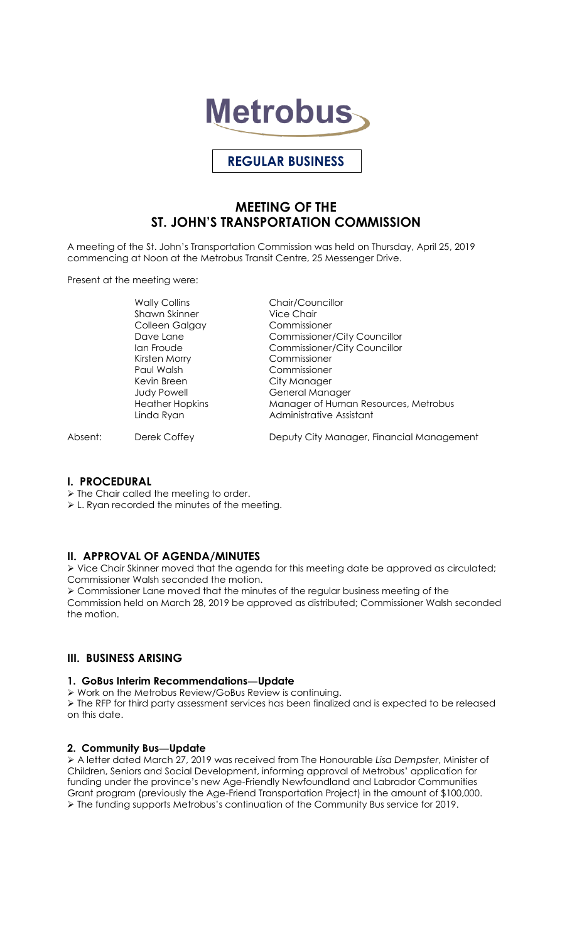

# **REGULAR BUSINESS**

# **MEETING OF THE ST. JOHN'S TRANSPORTATION COMMISSION**

A meeting of the St. John's Transportation Commission was held on Thursday, April 25, 2019 commencing at Noon at the Metrobus Transit Centre, 25 Messenger Drive.

Present at the meeting were:

Wally Collins **Chair/Councillor** Shawn Skinner Vice Chair Colleen Galgay Commissioner Paul Walsh Commissioner Kevin Breen City Manager

Dave Lane Commissioner/City Councillor Ian Froude Commissioner/City Councillor Commissioner Judy Powell General Manager Heather Hopkins Manager of Human Resources, Metrobus Linda Ryan **Administrative Assistant** 

Absent: Derek Coffey Deputy City Manager, Financial Management

### **I. PROCEDURAL**

 $\triangleright$  The Chair called the meeting to order.

L. Ryan recorded the minutes of the meeting.

### **II. APPROVAL OF AGENDA/MINUTES**

 Vice Chair Skinner moved that the agenda for this meeting date be approved as circulated; Commissioner Walsh seconded the motion.

 Commissioner Lane moved that the minutes of the regular business meeting of the Commission held on March 28, 2019 be approved as distributed; Commissioner Walsh seconded the motion.

## **III. BUSINESS ARISING**

#### **1. GoBus Interim Recommendations—Update**

Work on the Metrobus Review/GoBus Review is continuing.

 The RFP for third party assessment services has been finalized and is expected to be released on this date.

### **2. Community Bus—Update**

 A letter dated March 27, 2019 was received from The Honourable *Lisa Dempster*, Minister of Children, Seniors and Social Development, informing approval of Metrobus' application for funding under the province's new Age-Friendly Newfoundland and Labrador Communities Grant program (previously the Age-Friend Transportation Project) in the amount of \$100,000. The funding supports Metrobus's continuation of the Community Bus service for 2019.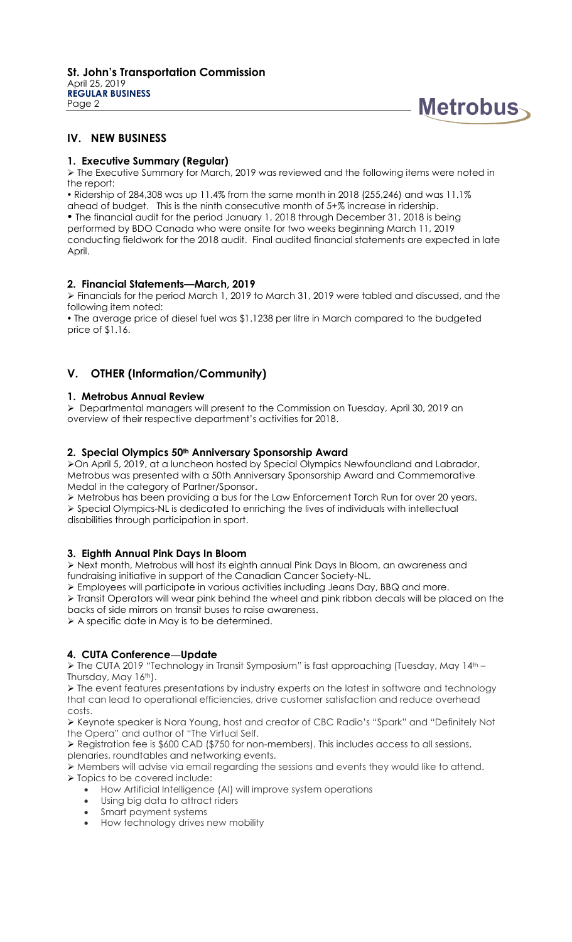

## **IV. NEW BUSINESS**

### **1. Executive Summary (Regular)**

 The Executive Summary for March, 2019 was reviewed and the following items were noted in the report:

 Ridership of 284,308 was up 11.4% from the same month in 2018 (255,246) and was 11.1% ahead of budget. This is the ninth consecutive month of 5+% increase in ridership. The financial audit for the period January 1, 2018 through December 31, 2018 is being performed by BDO Canada who were onsite for two weeks beginning March 11, 2019 conducting fieldwork for the 2018 audit. Final audited financial statements are expected in late April.

## **2. Financial Statements—March, 2019**

 Financials for the period March 1, 2019 to March 31, 2019 were tabled and discussed, and the following item noted:

• The average price of diesel fuel was \$1.1238 per litre in March compared to the budgeted price of \$1.16.

## **V. OTHER (Information/Community)**

#### **1. Metrobus Annual Review**

 Departmental managers will present to the Commission on Tuesday, April 30, 2019 an overview of their respective department's activities for 2018.

#### **2. Special Olympics 50th Anniversary Sponsorship Award**

On April 5, 2019, at a luncheon hosted by Special Olympics Newfoundland and Labrador, Metrobus was presented with a 50th Anniversary Sponsorship Award and Commemorative Medal in the category of Partner/Sponsor.

 Metrobus has been providing a bus for the Law Enforcement Torch Run for over 20 years.  $\triangleright$  Special Olympics-NL is dedicated to enriching the lives of individuals with intellectual disabilities through participation in sport.

## **3. Eighth Annual Pink Days In Bloom**

 Next month, Metrobus will host its eighth annual Pink Days In Bloom, an awareness and fundraising initiative in support of the Canadian Cancer Society-NL.

Employees will participate in various activities including Jeans Day, BBQ and more.

 $\triangleright$  Transit Operators will wear pink behind the wheel and pink ribbon decals will be placed on the backs of side mirrors on transit buses to raise awareness.

A specific date in May is to be determined.

### **4. CUTA Conference—Update**

 $\triangleright$  The CUTA 2019 "Technology in Transit Symposium" is fast approaching (Tuesday, May 14<sup>th –</sup> Thursday, May 16th).

 $\triangleright$  The event features presentations by industry experts on the latest in software and technology that can lead to operational efficiencies, drive customer satisfaction and reduce overhead costs.

 Keynote speaker is Nora Young, host and creator of CBC Radio's "Spark" and "Definitely Not the Opera" and author of "The Virtual Self.

 Registration fee is \$600 CAD (\$750 for non-members). This includes access to all sessions, plenaries, roundtables and networking events.

Members will advise via email regarding the sessions and events they would like to attend.

> Topics to be covered include:

- How Artificial Intelligence (AI) will improve system operations
- Using big data to attract riders
- Smart payment systems
- How technology drives new mobility